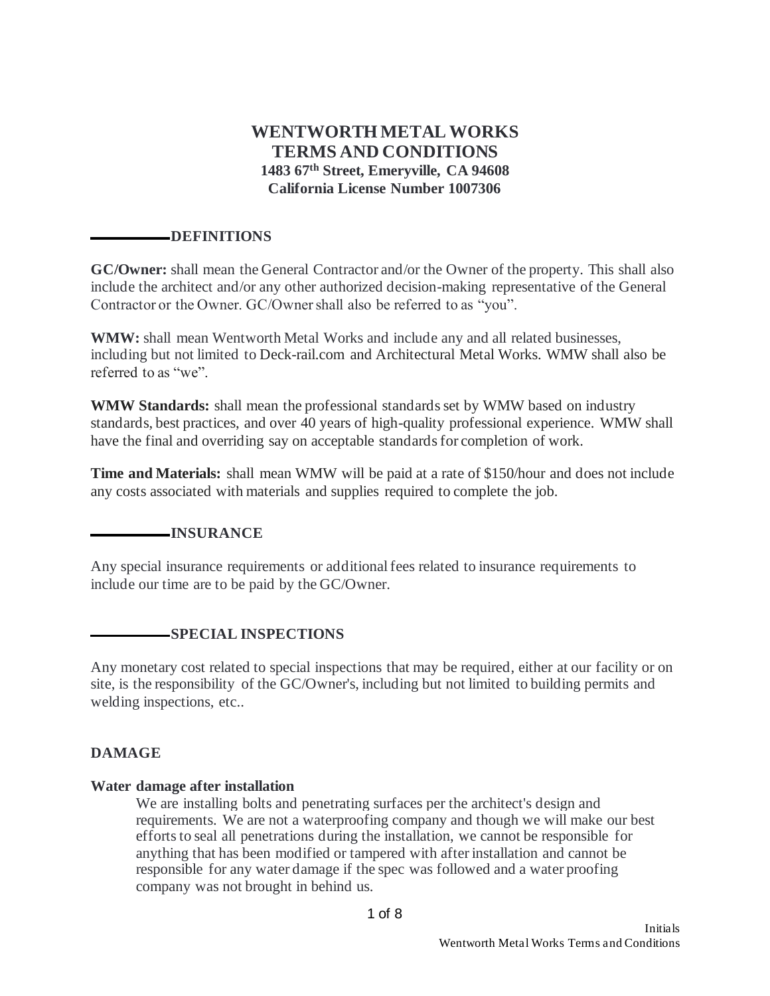# **WENTWORTH METAL WORKS TERMS AND CONDITIONS 1483 67th Street, Emeryville, CA 94608 California License Number 1007306**

#### **DEFINITIONS**

**GC/Owner:** shall mean the General Contractor and/or the Owner of the property. This shall also include the architect and/or any other authorized decision-making representative of the General Contractor or the Owner. GC/Owner shall also be referred to as "you".

**WMW:** shall mean Wentworth Metal Works and include any and all related businesses, including but not limited to Deck-rail.com and Architectural Metal Works. WMW shall also be referred to as "we".

**WMW Standards:** shall mean the professional standards set by WMW based on industry standards, best practices, and over 40 years of high-quality professional experience. WMW shall have the final and overriding say on acceptable standards for completion of work.

**Time and Materials:** shall mean WMW will be paid at a rate of \$150/hour and does not include any costs associated with materials and supplies required to complete the job.

### **INSURANCE**

Any special insurance requirements or additional fees related to insurance requirements to include our time are to be paid by the GC/Owner.

### **SPECIAL INSPECTIONS**

Any monetary cost related to special inspections that may be required, either at our facility or on site, is the responsibility of the GC/Owner's, including but not limited to building permits and welding inspections, etc..

#### **DAMAGE**

#### **Water damage after installation**

We are installing bolts and penetrating surfaces per the architect's design and requirements. We are not a waterproofing company and though we will make our best efforts to seal all penetrations during the installation, we cannot be responsible for anything that has been modified or tampered with after installation and cannot be responsible for any water damage if the spec was followed and a water proofing company was not brought in behind us.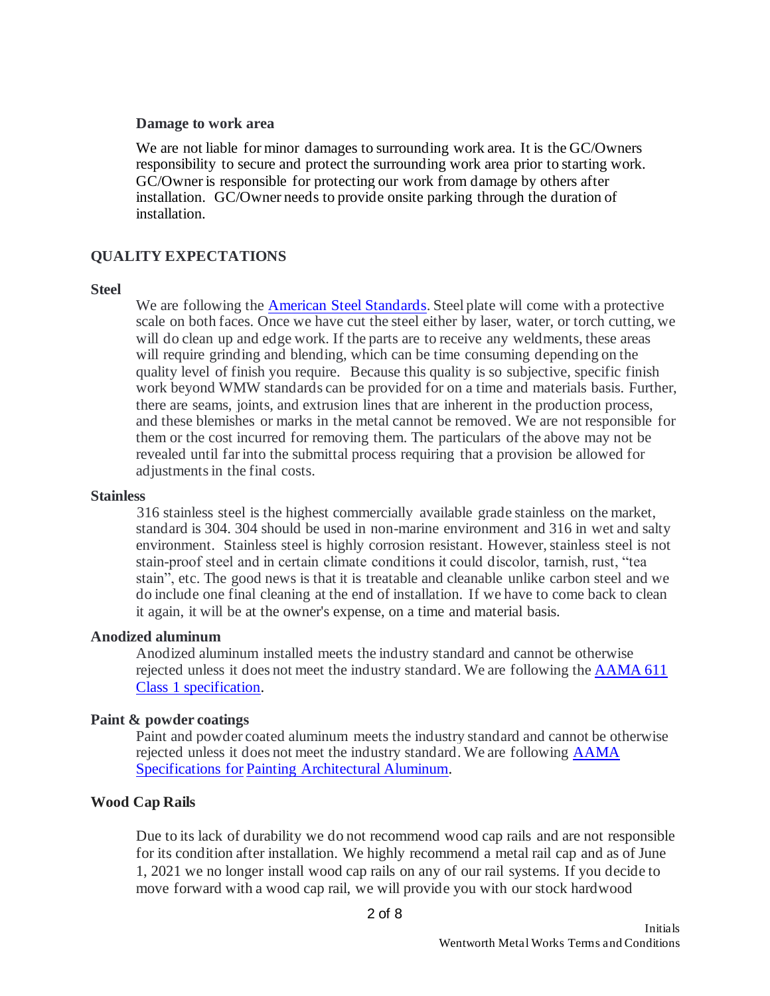#### **Damage to work area**

We are not liable for minor damages to surrounding work area. It is the GC/Owners responsibility to secure and protect the surrounding work area prior to starting work. GC/Owner is responsible for protecting our work from damage by others after installation. GC/Owner needs to provide onsite parking through the duration of installation.

# **QUALITY EXPECTATIONS**

#### **Steel**

We are following the American Steel Standards. Steel plate will come with a protective scale on both faces. Once we have cut the steel either by laser, water, or torch cutting, we will do clean up and edge work. If the parts are to receive any weldments, these areas will require grinding and blending, which can be time consuming depending on the quality level of finish you require. Because this quality is so subjective, specific finish work beyond WMW standards can be provided for on a time and materials basis. Further, there are seams, joints, and extrusion lines that are inherent in the production process, and these blemishes or marks in the metal cannot be removed. We are not responsible for them or the cost incurred for removing them. The particulars of the above may not be revealed until far into the submittal process requiring that a provision be allowed for adjustments in the final costs.

#### **Stainless**

316 stainless steel is the highest commercially available grade stainless on the market, standard is 304. 304 should be used in non-marine environment and 316 in wet and salty environment. Stainless steel is highly corrosion resistant. However, stainless steel is not stain-proof steel and in certain climate conditions it could discolor, tarnish, rust, "tea stain", etc. The good news is that it is treatable and cleanable unlike carbon steel and we do include one final cleaning at the end of installation. If we have to come back to clean it again, it will be at the owner's expense, on a time and material basis.

#### **Anodized aluminum**

Anodized aluminum installed meets the industry standard and cannot be otherwise rejected unless it does not meet the industry standard. We are following the AAMA 611 Class 1 specification.

### **Paint & powder coatings**

Paint and powder coated aluminum meets the industry standard and cannot be otherwise rejected unless it does not meet the industry standard. We are following AAMA Specifications for Painting Architectural Aluminum.

### **Wood Cap Rails**

Due to its lack of durability we do not recommend wood cap rails and are not responsible for its condition after installation. We highly recommend a metal rail cap and as of June 1, 2021 we no longer install wood cap rails on any of our rail systems. If you decide to move forward with a wood cap rail, we will provide you with our stock hardwood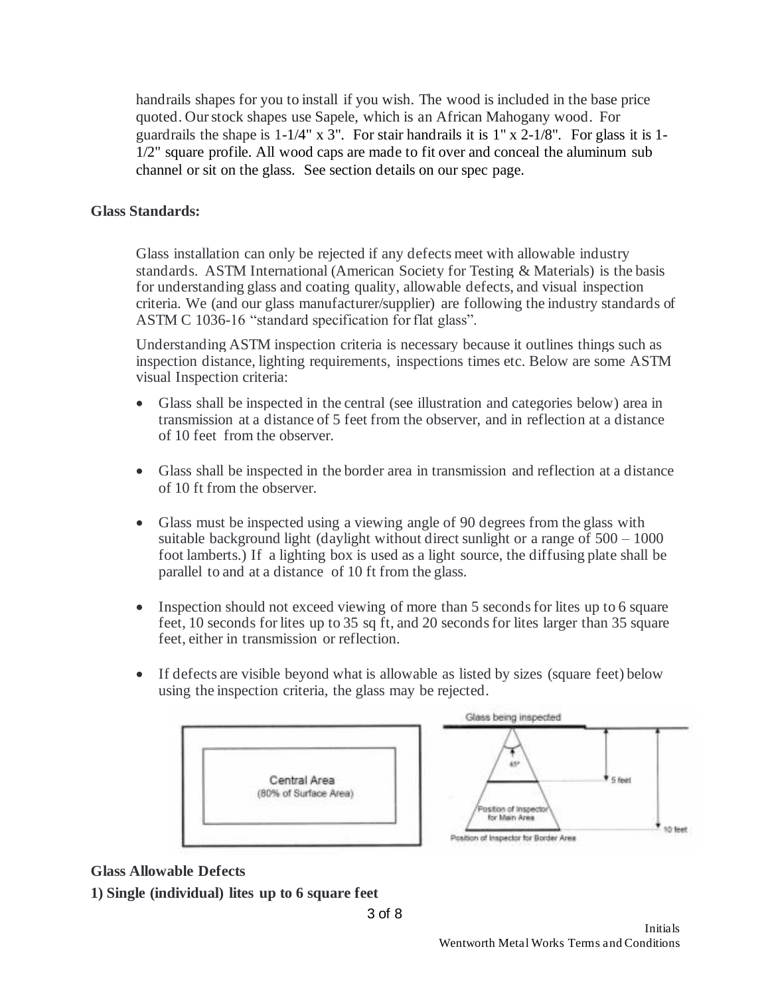handrails shapes for you to install if you wish. The wood is included in the base price quoted. Our stock shapes use Sapele, which is an African Mahogany wood. For guardrails the shape is 1-1/4" x 3". For stair handrails it is 1" x 2-1/8". For glass it is 1- 1/2" square profile. All wood caps are made to fit over and conceal the aluminum sub channel or sit on the glass. See section details on our spec page.

# **Glass Standards:**

Glass installation can only be rejected if any defects meet with allowable industry standards. ASTM International (American Society for Testing & Materials) is the basis for understanding glass and coating quality, allowable defects, and visual inspection criteria. We (and our glass manufacturer/supplier) are following the industry standards of ASTM C 1036-16 "standard specification for flat glass".

Understanding ASTM inspection criteria is necessary because it outlines things such as inspection distance, lighting requirements, inspections times etc. Below are some ASTM visual Inspection criteria:

- Glass shall be inspected in the central (see illustration and categories below) area in transmission at a distance of 5 feet from the observer, and in reflection at a distance of 10 feet from the observer.
- Glass shall be inspected in the border area in transmission and reflection at a distance of 10 ft from the observer.
- Glass must be inspected using a viewing angle of 90 degrees from the glass with suitable background light (daylight without direct sunlight or a range of  $500 - 1000$ ) foot lamberts.) If a lighting box is used as a light source, the diffusing plate shall be parallel to and at a distance of 10 ft from the glass.
- Inspection should not exceed viewing of more than 5 seconds for lites up to 6 square feet, 10 seconds for lites up to 35 sq ft, and 20 seconds for lites larger than 35 square feet, either in transmission or reflection.
- If defects are visible beyond what is allowable as listed by sizes (square feet) below using the inspection criteria, the glass may be rejected.



# **Glass Allowable Defects**

**1) Single (individual) lites up to 6 square feet**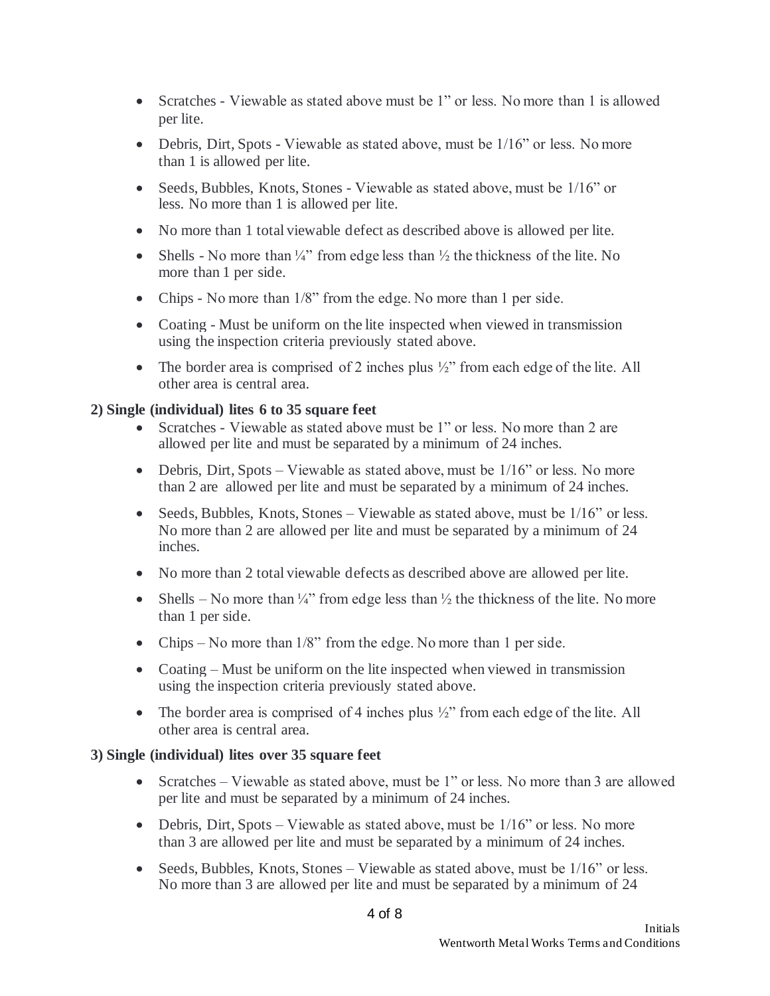- Scratches Viewable as stated above must be 1" or less. No more than 1 is allowed per lite.
- Debris, Dirt, Spots Viewable as stated above, must be 1/16" or less. No more than 1 is allowed per lite.
- Seeds, Bubbles, Knots, Stones Viewable as stated above, must be  $1/16$ " or less. No more than 1 is allowed per lite.
- No more than 1 total viewable defect as described above is allowed per lite.
- Shells No more than  $\frac{1}{4}$ " from edge less than  $\frac{1}{2}$  the thickness of the lite. No more than 1 per side.
- Chips No more than  $1/8$ " from the edge. No more than 1 per side.
- Coating Must be uniform on the lite inspected when viewed in transmission using the inspection criteria previously stated above.
- The border area is comprised of 2 inches plus  $\frac{1}{2}$ " from each edge of the lite. All other area is central area.

# **2) Single (individual) lites 6 to 35 square feet**

- Scratches Viewable as stated above must be 1" or less. No more than 2 are allowed per lite and must be separated by a minimum of 24 inches.
- Debris, Dirt, Spots Viewable as stated above, must be  $1/16$ " or less. No more than 2 are allowed per lite and must be separated by a minimum of 24 inches.
- Seeds, Bubbles, Knots, Stones Viewable as stated above, must be  $1/16$ " or less. No more than 2 are allowed per lite and must be separated by a minimum of 24 inches.
- No more than 2 total viewable defects as described above are allowed per lite.
- Shells No more than  $\frac{1}{4}$ " from edge less than  $\frac{1}{2}$  the thickness of the lite. No more than 1 per side.
- Chips No more than 1/8" from the edge. No more than 1 per side.
- Coating Must be uniform on the lite inspected when viewed in transmission using the inspection criteria previously stated above.
- The border area is comprised of 4 inches plus  $\frac{1}{2}$ " from each edge of the lite. All other area is central area.

# **3) Single (individual) lites over 35 square feet**

- Scratches Viewable as stated above, must be 1" or less. No more than 3 are allowed per lite and must be separated by a minimum of 24 inches.
- Debris, Dirt, Spots Viewable as stated above, must be  $1/16$ " or less. No more than 3 are allowed per lite and must be separated by a minimum of 24 inches.
- Seeds, Bubbles, Knots, Stones Viewable as stated above, must be 1/16" or less. No more than 3 are allowed per lite and must be separated by a minimum of 24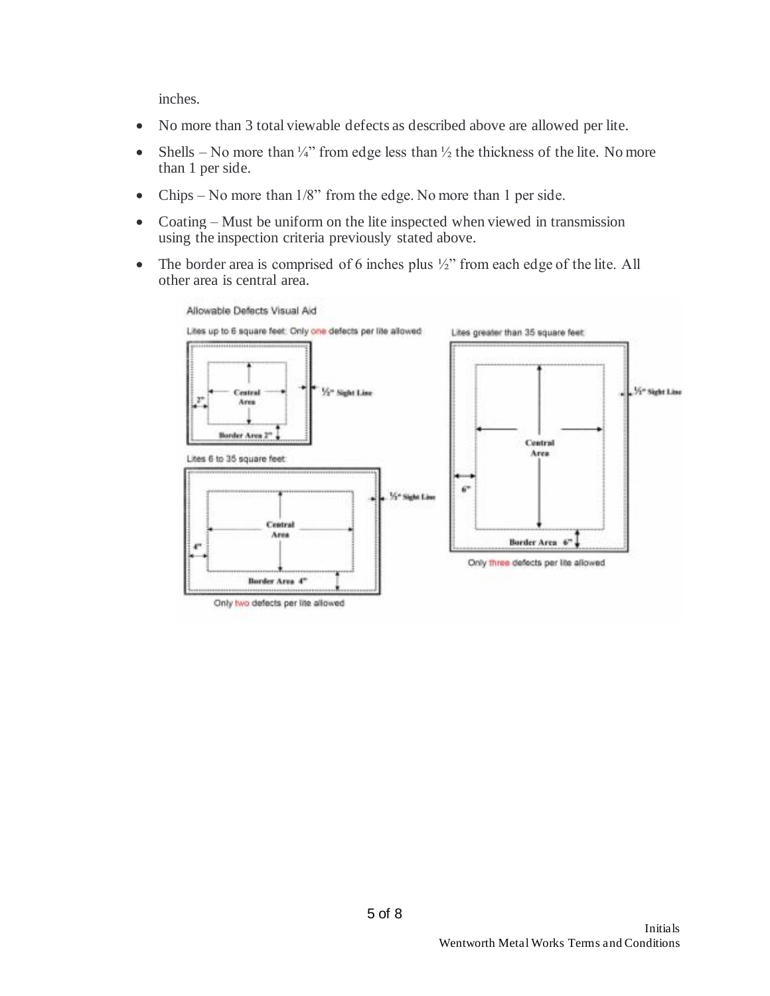inches.

- No more than 3 total viewable defects as described above are allowed per lite.
- Shells No more than  $\frac{1}{4}$ " from edge less than  $\frac{1}{2}$  the thickness of the lite. No more than 1 per side.
- Chips No more than 1/8" from the edge. No more than 1 per side.
- Coating Must be uniform on the lite inspected when viewed in transmission using the inspection criteria previously stated above.
- The border area is comprised of 6 inches plus  $\frac{1}{2}$ " from each edge of the lite. All other area is central area.



Only two defects per lite allowed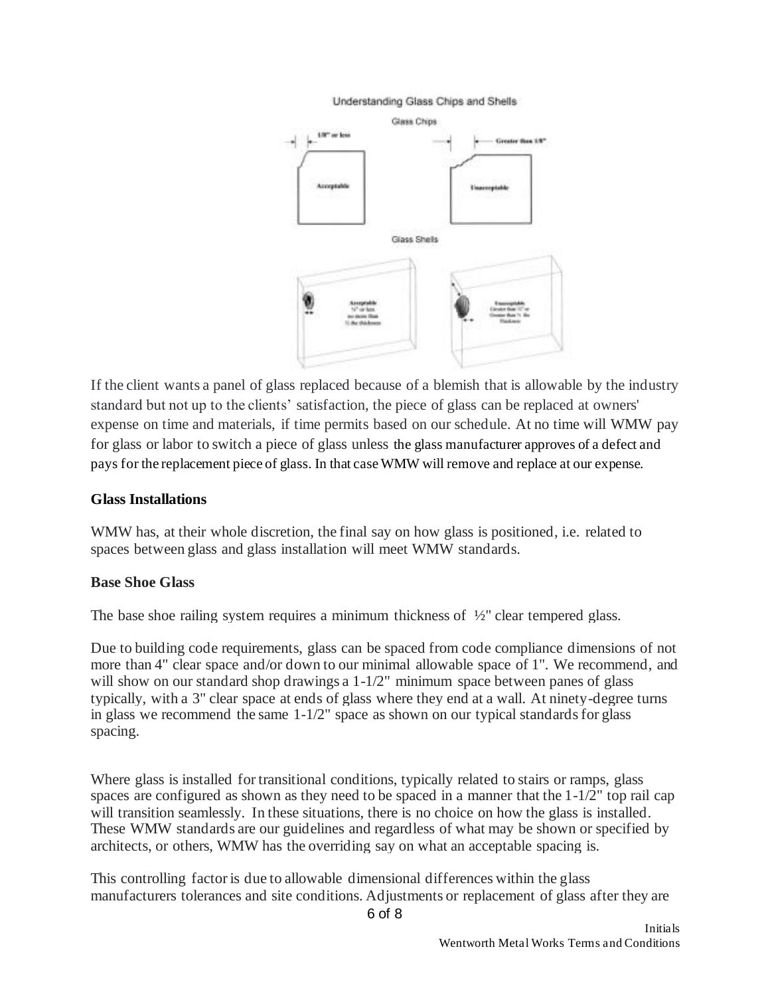#### Understanding Glass Chips and Shells



If the client wants a panel of glass replaced because of a blemish that is allowable by the industry standard but not up to the clients' satisfaction, the piece of glass can be replaced at owners' expense on time and materials, if time permits based on our schedule. At no time will WMW pay for glass or labor to switch a piece of glass unless the glass manufacturer approves of a defect and pays for the replacement piece of glass. In that case WMW will remove and replace at our expense.

#### **Glass Installations**

WMW has, at their whole discretion, the final say on how glass is positioned, i.e. related to spaces between glass and glass installation will meet WMW standards.

# **Base Shoe Glass**

The base shoe railing system requires a minimum thickness of  $\frac{1}{2}$ " clear tempered glass.

Due to building code requirements, glass can be spaced from code compliance dimensions of not more than 4" clear space and/or down to our minimal allowable space of 1". We recommend, and will show on our standard shop drawings a  $1-\frac{1}{2}$ " minimum space between panes of glass typically, with a 3" clear space at ends of glass where they end at a wall. At ninety-degree turns in glass we recommend the same 1-1/2" space as shown on our typical standards for glass spacing.

Where glass is installed for transitional conditions, typically related to stairs or ramps, glass spaces are configured as shown as they need to be spaced in a manner that the 1-1/2" top rail cap will transition seamlessly. In these situations, there is no choice on how the glass is installed. These WMW standards are our guidelines and regardless of what may be shown or specified by architects, or others, WMW has the overriding say on what an acceptable spacing is.

This controlling factor is due to allowable dimensional differences within the glass manufacturers tolerances and site conditions. Adjustments or replacement of glass after they are

6 of 8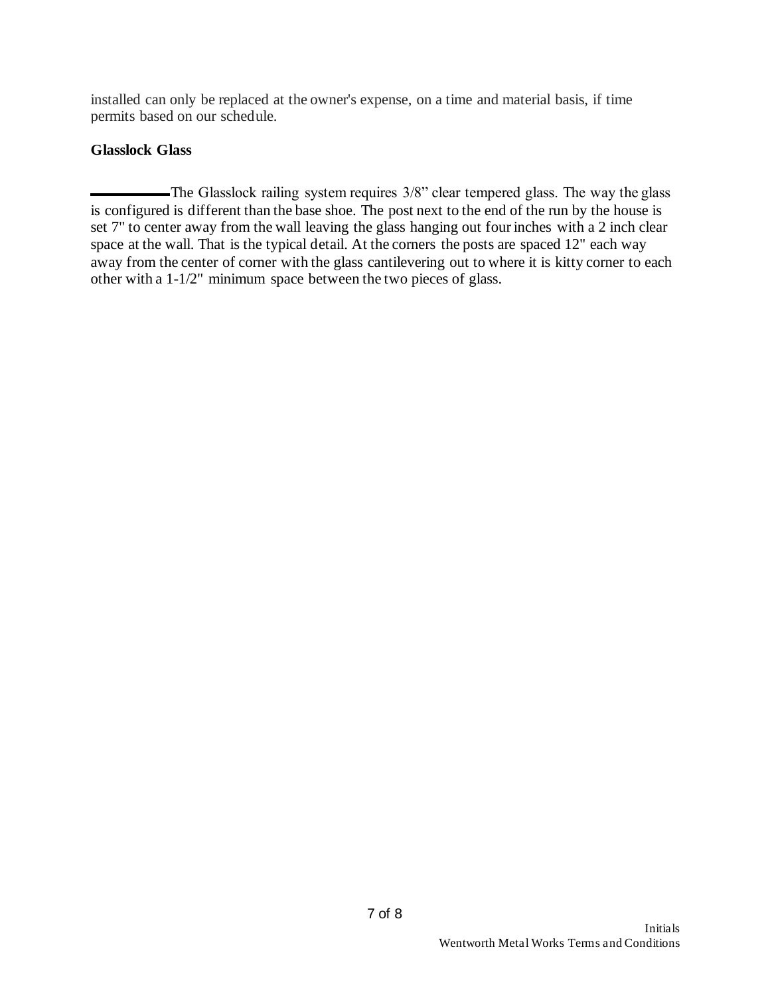installed can only be replaced at the owner's expense, on a time and material basis, if time permits based on our schedule.

# **Glasslock Glass**

The Glasslock railing system requires 3/8" clear tempered glass. The way the glass is configured is different than the base shoe. The post next to the end of the run by the house is set 7" to center away from the wall leaving the glass hanging out four inches with a 2 inch clear space at the wall. That is the typical detail. At the corners the posts are spaced 12" each way away from the center of corner with the glass cantilevering out to where it is kitty corner to each other with a 1-1/2" minimum space between the two pieces of glass.